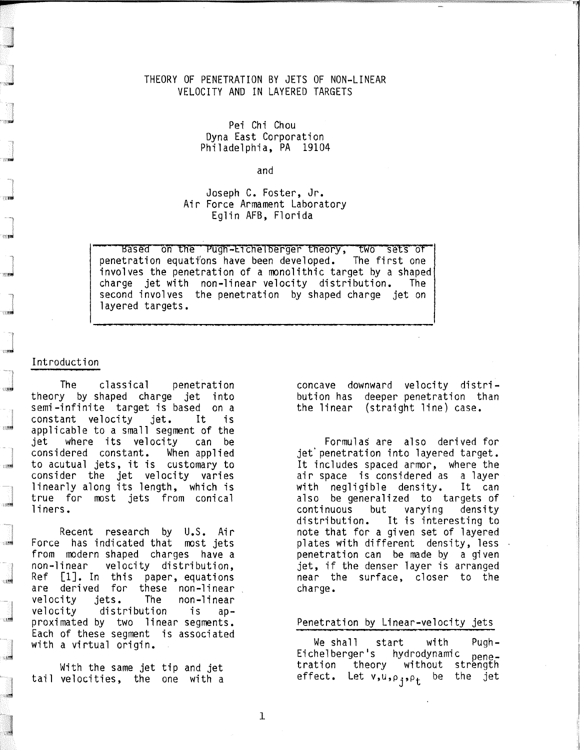## THEORY OF PENETRATION BY JETS OF NON-LINEAR VELOCITY AND IN LAYERED TARGETS

Pei Chi Chou Dyna East Corporation Philadelphia, PA 19104

and

Joseph C. Foster, Jr. Air Force Armament Laboratory Eglin AFB, Florida

Based on the Pugh-Eichelberger theory, two sets of<br>tration equations have been developed. The first one penetration equations have been developed. involves the penetration of a monolithic target by a shaped charge jet with non-linear velocity distribution. The second involves the penetration by shaped charge jet on layered targets.

### Introduction

**TERS** 

uni

 $\frac{1}{2}$ 

्<br>सम्बद्धाः

ाडवे

**TIME** 

ाख्य

ाड

ाम्ब

化糖

The classical penetration theory by shaped charge jet into semi-infinite target is based on a constant velocity jet. It is applicable to a small segment of the jet where its velocity can be considered constant. to acutual jets, it is customary to consider the jet velocity varies linearly along its length, which is true for most jets from conical liners.

Recent research by U.S. Air Force has indicated that most jets from modern shaped charges have a non-linear velocity distribution, Ref [1J. In this paper, equations are derived for these non-linear velocity jets. The non-linear velocity distribution is approximated by two linear segments. Each of these segment is associated with a virtual origin.

With the same jet tip and jet tail velocities, the one with a concave downward velocity distribution has deeper penetration than the linear (straight line) case.

Formulas are also derived for jet' penetration into layered target. It includes spaced armor, where the air space is considered as a layer with negligible density. It can also be generalized to targets of continuous but varying density distribution. It is interesting to note that for a given set of layered plates with different density, less penetration can be made by a given jet, if the denser layer is arranged near the surface, closer to the charge.

#### Penetration by Linear-velocity jets

We shall start with Pugh-Eichelberger<mark>'s</mark> hydrodynamic <sub>pene-</sub><br>tration theory without strength tration theory without strength<br>effect. Let v,u,p<sub>j,Pt</sub> be the jet

1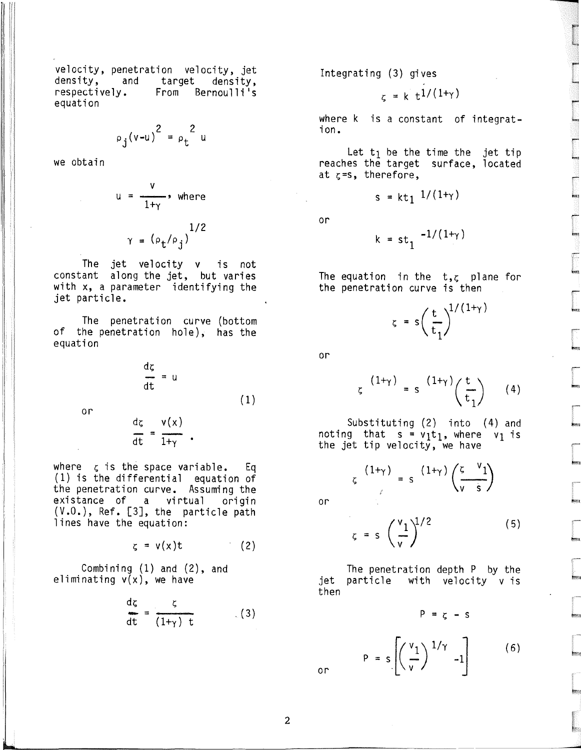velocity, penetration velocity, jet<br>density, and target density, density, and target<br>respectively. From Ber From Bernoulli's equation

$$
\rho_j(v-u)^2 = \rho_t^2 u
$$

we obtain

$$
u = \frac{v}{1 + \gamma}, \text{ where}
$$

$$
\gamma = (\rho_t / \rho_j)^{1/2}
$$

The jet velocity v is not constant along the jet, but varies with x, a parameter identifying the jet particle.

The penetration curve (bottom<br>of the penetration hole), has the equation

$$
\frac{dz}{dt} = u
$$
 (1)

or

$$
\frac{d\zeta}{dt} = \frac{v(x)}{1+v}.
$$

where  $\zeta$  is the space variable. Eq (1) is the differential equation of the penetration curve. Assuming the existance of a virtual origin<br>(V.O.), Ref. [3], the particle path lines have the equation:

> $\zeta = v(x)t$  $(2)$

Combining (1) and (2), and eliminating  $v(x)$ , we have

$$
\frac{dz}{dt} = \frac{\zeta}{(1+\gamma)t}
$$
 (3)

Integrating (3) gives

$$
\zeta = k \, t^{1/(1+\gamma)}
$$

r-

r- ....

r

*r-*

..,,'" r-

r-

 $\epsilon$ 

....

where  $k$  is a constant of integration.

Let  $t_1$  be the time the jet tip reaches the target surface, located at  $z=$ s, therefore,

$$
s = kt_1 \sqrt{1/(1+\gamma)}
$$

or

$$
k = st_1 \sqrt{-1/(1+\gamma)}
$$

The equation in the  $t, \zeta$  plane for the penetration curve is then

$$
\zeta = s \left( \frac{t}{t_1} \right)^{1/(1+\gamma)}
$$

or

$$
\zeta^{(1+\gamma)} = s^{(1+\gamma)} \left(\frac{t}{t_1}\right) \qquad (4)
$$

Substituting (2) into (4) and noting that s =  $v_1t_1$ , where  $v_1$  is the jet tip velocity, we have

$$
\zeta \frac{(1+\gamma)}{\gamma} = s \frac{(1+\gamma)}{\gamma} \frac{\zeta}{\gamma} \frac{\gamma_1}{s}
$$

or

 $z = s \left( \frac{v_1}{v} \right)^{1/2}$  (5)

The penetration depth P by the jet particle with velocity v is then

 $P = Z - S$ 

 $P = s \left[ \left( \frac{v_1}{v} \right)^{1/\gamma} -1 \right]$  (6)

or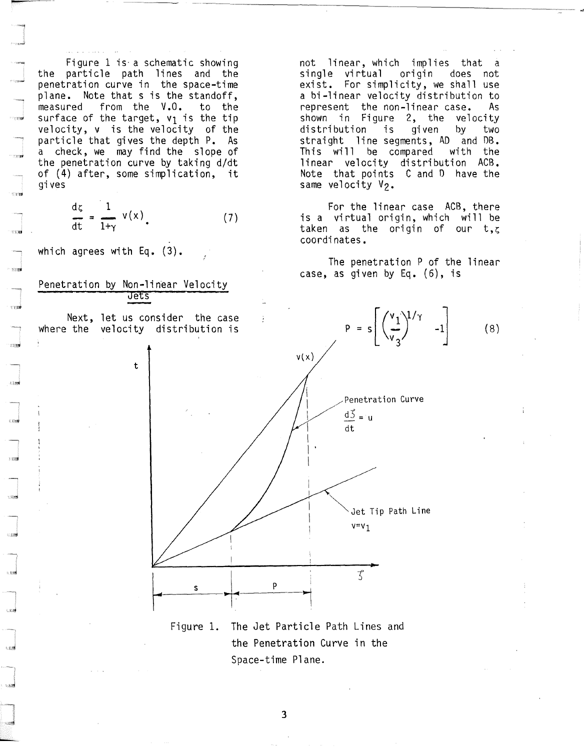Figure 1 is· a schematic showing the particle path lines and the penetration curve in the space-time plane. Note that s is the standoff,<br>measured from the V.O. to the measured from the V.O. surface of the target,  $v_1$  is the tip velocity, v is the velocity of the particle that gives the depth P. As a check, we may find the slope of the penetration curve by taking d/dt of (4) after, some simplication, it gives

$$
\frac{dz}{dt} = \frac{1}{1+\gamma} v(x), \qquad (7)
$$

!

which agrees with Eq. (3).

, ,,"

**Solar** 

 $\frac{1}{2}$ 

JI~



t

Next, let us consider the case where the velocity distribution is

not linear, which implies that single virtual origin does not exist. For simplicity, we shall use a bi-linear velocity distribution to represent the non-linear case. As shown in Figure 2, the velocity<br>distribution is given by two distribution is given by two straight line segments, AD and DB. This will be compared with the linear velocity distribution ACB. Note that points C and 0 have the same velocity V<sub>2</sub>.

 $\frac{1}{\sqrt{2}}$ 

For the linear case ACB, there is a virtual origin, which will be taken as the origin of our  $t, z$ coordinates.

The penetration P of the linear case, as given by Eq. (6), is

 $(8)$ 



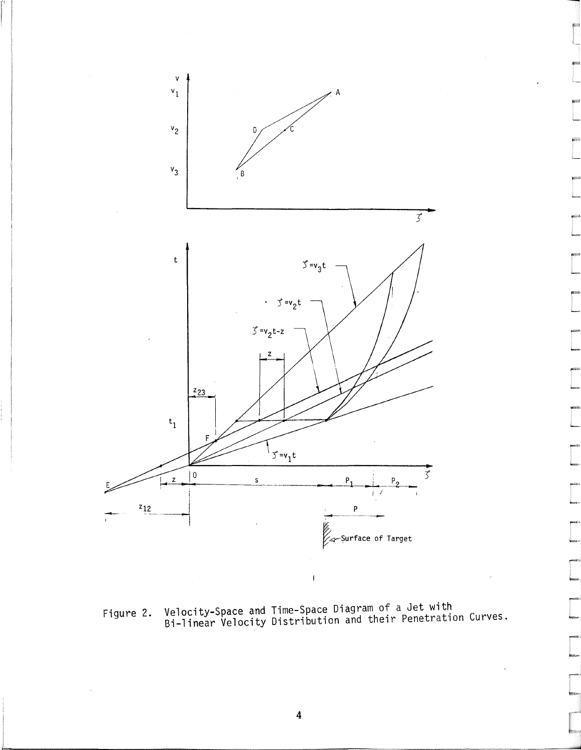

Velocity-Space and Time-Space Diagram of a Jet with<br>Bi-linear Velocity Distribution and their Penetration Curves. Figure 2.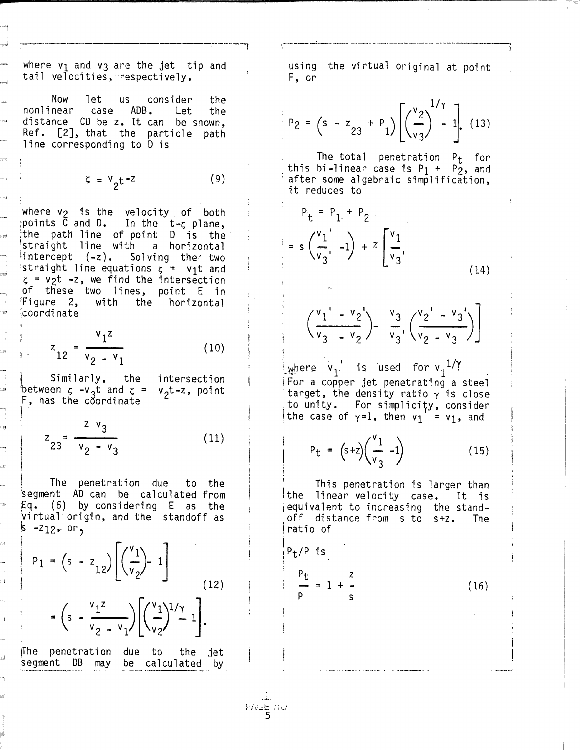where  $v_1$  and  $v_3$  are the jet tip and tail velocities, respectively.

Now let **us** consider the nonlinear case ADB. Let the distance CD be z. It can be shown, Ref. [2], that the particle path line corresponding to D is

. 37.I

.<br>ES

QI

ze

 $5 = v_0 t^{-2}$  $(9)$ 

where  $v_2$  is the velocity of both points C and D. In the t-g plane, the path line of point D is the<br>straight line with a horizontal  $\{intercept \ (-z)$ . Solving the two straight line equations  $\zeta = v_1 t$  and  $\zeta$  = v<sub>2</sub>t -z, we find the intersection of these two lines, point E in 'Figure 2, with the horizontal **coordinate** 

$$
z_{12} = \frac{v_1 z}{v_2 - v_1}
$$
 (10)

Similarly, the intersection between  $\zeta$  -v<sub>3</sub>t and  $\zeta$  = v<sub>2</sub>t-z, point F, has the coordinate

$$
z_{23} = \frac{z \, v_3}{v_2 - v_3} \tag{11}
$$

The penetration due to the segment AD can be calculated from Eq. (6) by considering E as the virtual origin, and the standoff as  $s - z_{12}$ , or,

$$
P_1 = (s - z_{12}) \left[ \left( \frac{v_1}{v_2} \right) - 1 \right]
$$
  
=  $\left( s - \frac{v_1 z}{v_2 - v_1} \right) \left[ \left( \frac{v_1}{v_2} \right)^{1/\gamma} - 1 \right].$  (12)

 $\Box$ 

The penetration due to the jet segment DB may be calculated by

N

using the virtual original at point F, or

$$
P_2 = (s - z_{23} + P_1) \left[ \left( \frac{v_2}{v_3} \right)^{1/\gamma} - 1 \right].
$$
 (13)

The total penetration  $P_t$  for this bi-linear case is  $P_1 + P_2$ , and after some algebraic simplification, it reduces to

$$
P_{t} = P_{1} + P_{2}
$$
  
=  $s \left( \frac{v_{1}}{v_{3}} \right) + z \left[ \frac{v_{1}}{v_{3}} \right]$  (14)

$$
\left(\frac{{\bf v}_1 - {\bf v}_2}{\bf v}_3 - {\bf v}_2\right) - \frac{{\bf v}_3}{\bf v}_3 \cdot \left(\frac{{\bf v}_2 - {\bf v}_3}{\bf v}_2 - {\bf v}_3\right)
$$

where  $v_1$  is used for  $v_1^{-1/\gamma}$ For a copper jet penetrating a steel target, the density ratio  $\gamma$  is close to unity. For simplicity, consider the case of  $\gamma=1$ , then  $v_1 = v_1$ , and

$$
P_{t} = (s+z)\left(\frac{v_1}{v_3} - 1\right) \tag{15}
$$

This penetration is larger than the linear velocity case. It is equivalent to increasing the standoff distance from s to s+z. The Iratio of

$$
\frac{p_t}{p} = 1 + \frac{z}{q}
$$

 $(16)$ 

 $PAG_E = 30.$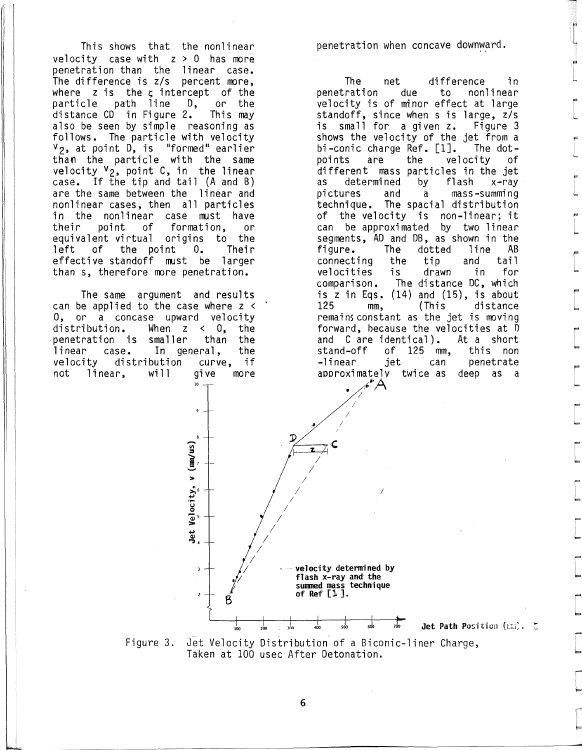This shows that the nonlinear velocity case with  $z > 0$  has more penetration than the linear case. The difference is *z/s* percent more, where  $z$  is the  $z$  intercept of the particle path line D, or the<br>distance-CD in-Figure-2. This-may distance  $CD$  in Figure 2. also be seen by simple reasoning as follows. The particle with velocity  $v_2$ , at point D, is "formed" earlier than the particle with the same velocity  $v_2$ , point C, in the linear case. If the tip and  $tail$  (A and B) are the same between the linear and nonlinear cases, then all particles in the nonlinear case must have<br>their point of formation, or formation, equivalent virtual origins to the<br>left of the point O. Their left of the point  $0$ . effective standoff must be larger than s, therefore more penetration.

')

The same argument and results can be applied to the case where z < 0, or a concase upward velocity<br>distribution. When z < 0, the When  $z < 0$ , the smaller than the penetration is smaller than the<br>linear case. In general, the linear case. In general, the<br>velocity distribution curve. if velocity distribution curve, if<br>not linear, will give more not linear, will give more<br>"

penetration when concave downward.

.. 1 L

**|** I..

.. L.

'" L.

.. i..

r L

|<br>|<br>| L

,... , L

I'" I..

,... , b. ,...

L.

! I-

r ...

I'"" i-

.."

b.

The net difference in<br>ration due to nonlinear penetration velocity is of minor effect at large standoff, since when s is large, *zis*  is small for a given z. Figure 3 shows the velocity of the jet from a bi-conic charge Ref. [1]. The dot-<br>points are the velocity of velocity different mass particles in the jet<br>as determined by flash x-ray as determined by flash<br>pictures and a massand a mass-summing technique. The spacial distribution of the velocity is non-linear; it can be approximated by two linear segments, AD and DB, as shown in the<br>figure. The dotted line AB The dotted line AB<br>the tip and tail connecting the tip and tail velocities comparison. The distance DC, which is z in Eqs. (14) and (15), is about<br>125 mm, (This distance distance remains constant as the jet is moving forward, because the velocities at D and C are identical). At a short<br>stand-off of 125 mm. this non stand-off of 125 mm,<br>-linear jet can can penetrate<br>as deep as a approximately twice as

Jet Path Position (I.I.).  $\zeta$ 



Figure 3. Jet Velocity Distribution of a Biconic-liner Charge, Taken at 100 usec After Detonation.

6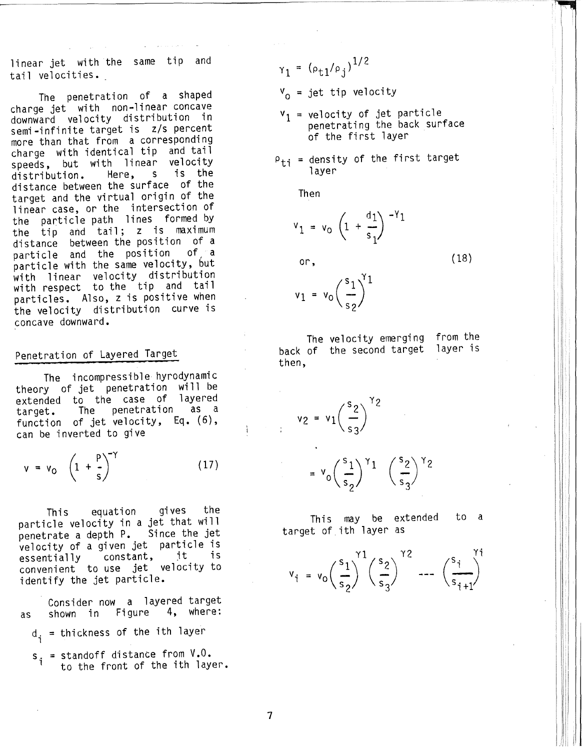linear jet with the same tip and tail velocities.

The penetration of a shaped charge jet with non-linear concave downward velocity distribution in semi-infinite target is *zls* percent more than that from a corresponding charge with identical tip and tail speeds, but with linear velocity<br>distribution. Here, s is the distribution. Here, s is the distance between the surface of the target and the virtual origin of the linear case, or the intersection of the particle path lines formed by the tip and tail; z is maximum<br>distance between the position of a between the position of a<br>and the position of a particle and the position particle with the same velocity, but with linear velocity distribution with respect to the tip and tail particles. Also, z is positive when the velocity distribution curve is concave downward.

# Penetration of Layered Target

The incompressible hyrodynamic theory of jet penetration will be extended to the case of layered<br>target. The penetration as a target. The penetration as a function of jet velocity, Eq. (6), can be inverted to give

$$
v = v_0 \left(1 + \frac{p}{s}\right)^{-\gamma} \tag{17}
$$

This equation gives the particle velocity in a jet that will penetrate a depth P. Since the jet velocity of a given jet particle is essentially constant, it is essentially constant, it is<br>convenient to use jet velocity to identify the jet particle.

Consider now a layered target<br>shown in Figure 4, where: as shown in Figure

- d<sub>i</sub> = thickness of the ith layer
- $s_i$  = standoff distance from  $V.0$ . to the front of the ith layer.

 $\gamma_1 = (\rho_{t1}/\rho_j)^{1/2}$ 

 $V_0$  = jet tip velocity

- $v_1$  = velocity of jet particle penetrating the back surface of the first layer
- $P_{ti}$  = density of the first target 1 ayer

Then

$$
v_1 = v_0 \left(1 + \frac{d_1}{s_1}\right)^{-\gamma_1}
$$

or,

(18)

$$
v_1 = v_0 \left(\frac{s_1}{s_2}\right)^{y_1}
$$

The velocity emerging back of the second target then, from the 1 ayer is

$$
v_2 = v_1 \left(\frac{s_2}{s_3}\right)^{\gamma_2}
$$

$$
= \mathsf{v}_0 \left(\frac{\mathsf{s}_1}{\mathsf{s}_2}\right)^{\gamma_1} \left(\frac{\mathsf{s}_2}{\mathsf{s}_3}\right)^{\gamma_2}
$$

This may be extended target of ith layer as to a

$$
v_{i} = v_{0} \left(\frac{s_{1}}{s_{2}}\right)^{\gamma_{1}} \left(\frac{s_{2}}{s_{3}}\right)^{\gamma_{2}} \cdots \left(\frac{s_{i}}{s_{i+1}}\right)^{\gamma_{i}}
$$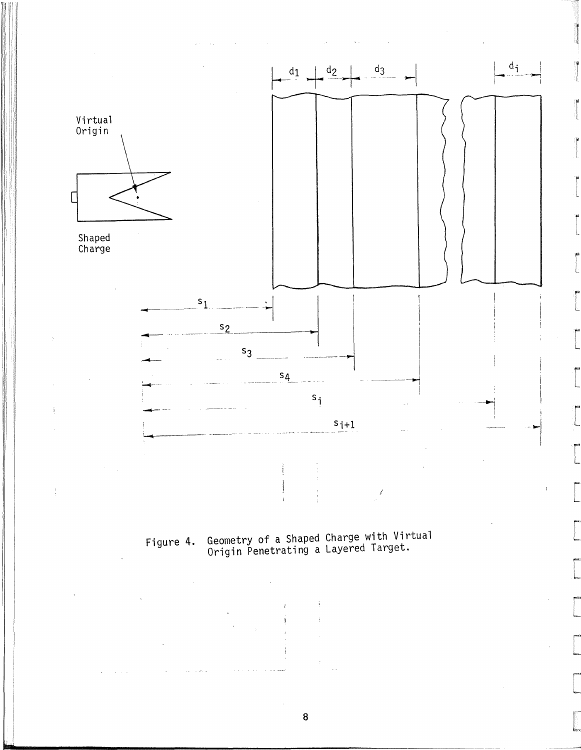

Geometry of a Shaped Charge with Virtual<br>Origin Penetrating a Layered Target. Figure 4.

 $\bf 8$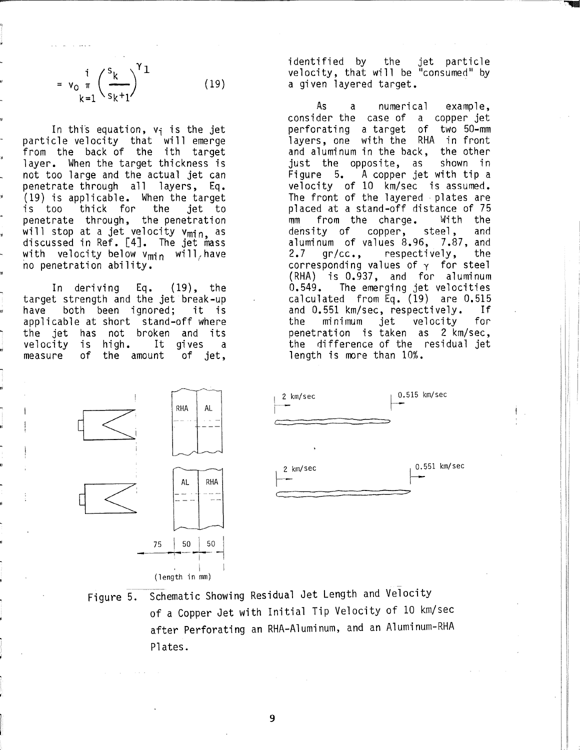$$
= v_0 \frac{\mathrm{i}}{\mathrm{k} \mathrm{i} \mathrm{l}} \left( \frac{\mathrm{s}_{k}}{\mathrm{s}_{k} + \mathrm{l}} \right)^{\mathrm{Y} \mathrm{l}} \tag{19}
$$

In this equation,  $v_i$  is the jet particle velocity that will emerge from the back of the ith target layer. When the target thickness is not too large and the actual jet can penetrate through all layers, Eq. (19) is applicable. When the target is too thick for the penetrate through, the penetration .<br>will stop at a jet velocity v<sub>min,</sub> as discussed in Ref. [4J. The jet mass with velocity below  $v_{\text{min}}$  will, have no penetration ability.

In deriving Eq. (19), the target strength and the jet break-up have both been ignored; it is applicable at short stand-off where the jet has not broken and its<br>velocity is high. It gives a velocity is high. It gives a<br>measure of the amount of jet, of the amount

identified by the jet particle velocity, that will be "consumed" by a given layered target. .

---~-~':"IIIIII!l

As a numerical example, consider the case of a copper jet perforating a target of two 50-mm layers, one with the RHA in front and aluminum in the back, the other just the opposite, as shown in  $F$ igure 5. A copper jet with tip a velocity of 10 km/sec is assumed. The front of the layered plates are placed at a stand-off distance of 75 mm from the charge. With the density of copper, steel, and aluminum of values 8.96, 7.87, and<br>2.7 gr/cc., respectively, the 2.7 gr/cc., respectively, the corresponding values of  $\gamma$  for steel (RHA) is 0.937, and for aluminum 0.549. The emerging jet velocities calculated from Eq. (19) are 0.515 and 0.551 km/sec, respectively. If the minimum jet velocity for penetration is taken as 2 km/sec, the difference of the residual jet length is more than 10%.





Figure 5. Schematic Showing Residual Jet Length and Velocity of a Copper Jet with Initial Tip Velocity of 10 km/sec after Perforating an RHA-Aluminum, and an Aluminum-RHA Plates.

9